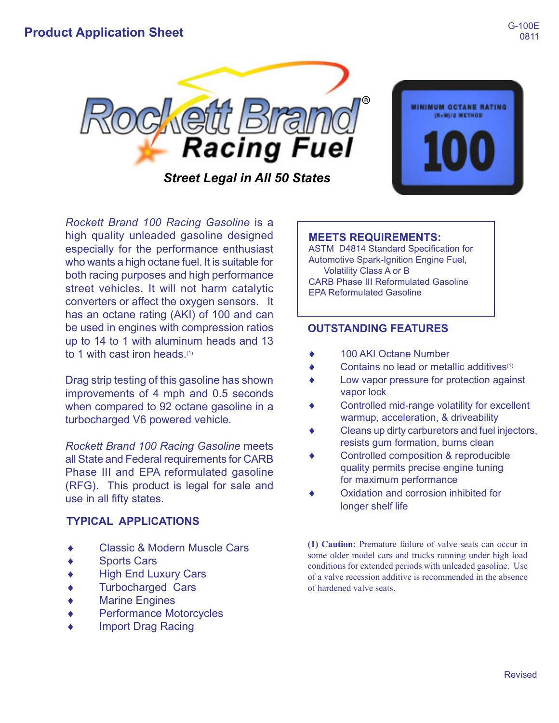

**MINIMUM OCTANE RATING** (R+M)/2 METHOD

*Rockett Brand 100 Racing Gasoline* is a high quality unleaded gasoline designed especially for the performance enthusiast who wants a high octane fuel. It is suitable for both racing purposes and high performance street vehicles. It will not harm catalytic converters or affect the oxygen sensors. It has an octane rating (AKI) of 100 and can be used in engines with compression ratios up to 14 to 1 with aluminum heads and 13 to 1 with cast iron heads.(1)

Drag strip testing of this gasoline has shown improvements of 4 mph and 0.5 seconds when compared to 92 octane gasoline in a turbocharged V6 powered vehicle.

*Rockett Brand 100 Racing Gasoline* meets all State and Federal requirements for CARB Phase III and EPA reformulated gasoline (RFG). This product is legal for sale and use in all fifty states.

## **TYPICAL APPLICATIONS**

- **Classic & Modern Muscle Cars**
- **Sports Cars**
- **High End Luxury Cars**
- **Turbocharged Cars**
- **Marine Engines**
- **Performance Motorcycles**
- **Import Drag Racing**

## **MEETS REQUIREMENTS:**

ASTM D4814 Standard Specification for Automotive Spark-Ignition Engine Fuel, Volatility Class A or B CARB Phase III Reformulated Gasoline EPA Reformulated Gasoline

## **OUTSTANDING FEATURES**

- ◆ 100 AKI Octane Number
- Contains no lead or metallic additives $(1)$
- Low vapor pressure for protection against vapor lock
- Controlled mid-range volatility for excellent warmup, acceleration, & driveability
- Cleans up dirty carburetors and fuel injectors, resists gum formation, burns clean
- Controlled composition & reproducible quality permits precise engine tuning for maximum performance
- Oxidation and corrosion inhibited for longer shelf life

**(1) Caution:** Premature failure of valve seats can occur in some older model cars and trucks running under high load conditions for extended periods with unleaded gasoline. Use of a valve recession additive is recommended in the absence of hardened valve seats.